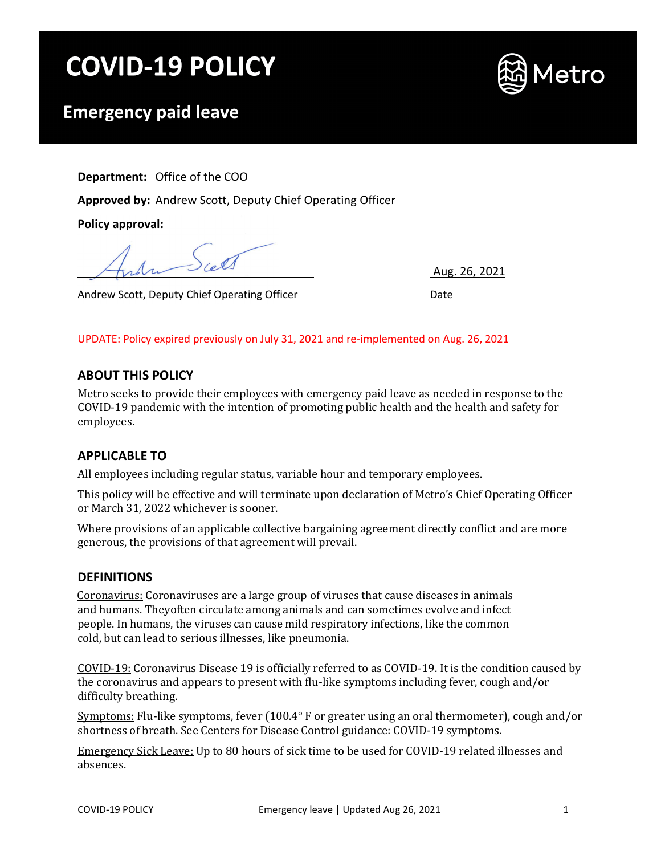# **COVID-19 POLICY**



# **Emergency paid leave**

**Department:** Office of the COO

**Approved by:** Andrew Scott, Deputy Chief Operating Officer

**Policy approval:**

Andrew Scott, Deputy Chief Operating Officer National Andrew Scott, Date

Aug. 26, 2021

UPDATE: Policy expired previously on July 31, 2021 and re-implemented on Aug. 26, 2021

# **ABOUT THIS POLICY**

Metro seeks to provide their employees with emergency paid leave as needed in response to the COVID-19 pandemic with the intention of promoting public health and the health and safety for employees.

# **APPLICABLE TO**

All employees including regular status, variable hour and temporary employees.

This policy will be effective and will terminate upon declaration of Metro's Chief Operating Officer or March 31, 2022 whichever is sooner.

Where provisions of an applicable collective bargaining agreement directly conflict and are more generous, the provisions of that agreement will prevail.

## **DEFINITIONS**

Coronavirus: Coronaviruses are a large group of viruses that cause diseases in animals and humans. Theyoften circulate among animals and can sometimes evolve and infect people. In humans, the viruses can cause mild respiratory infections, like the common cold, but can lead to serious illnesses, like pneumonia.

COVID-19: Coronavirus Disease 19 is officially referred to as COVID-19. It is the condition caused by the coronavirus and appears to present with flu-like symptoms including fever, cough and/or difficulty breathing.

Symptoms: Flu-like symptoms, fever (100.4° F or greater using an oral thermometer), cough and/or shortness of breath. See Centers for Disease Control guidance: COVID-19 symptoms.

Emergency Sick Leave: Up to 80 hours of sick time to be used for COVID-19 related illnesses and absences.